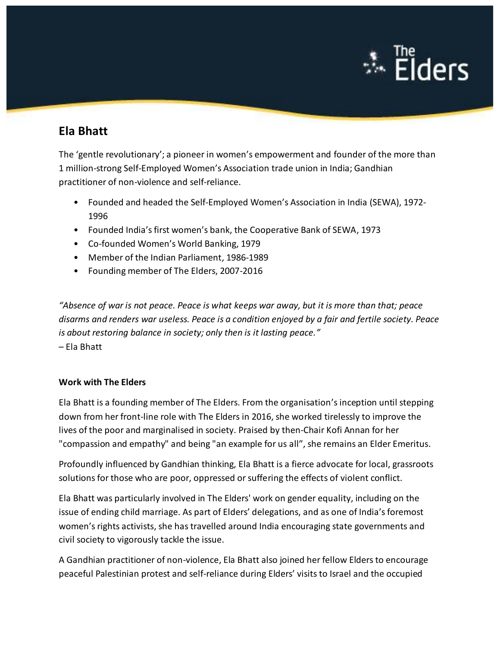

## **Ela Bhatt**

The 'gentle revolutionary'; a pioneer in women's empowerment and founder of the more than 1 million-strong Self-Employed Women's Association trade union in India; Gandhian practitioner of non-violence and self-reliance.

- Founded and headed the Self-Employed Women's Association in India (SEWA), 1972- 1996
- Founded India's first women's bank, the Cooperative Bank of SEWA, 1973
- Co-founded Women's World Banking, 1979
- Member of the Indian Parliament, 1986-1989
- Founding member of The Elders, 2007-2016

*"Absence of war is not peace. Peace is what keeps war away, but it is more than that; peace disarms and renders war useless. Peace is a condition enjoyed by a fair and fertile society. Peace is about restoring balance in society; only then is it lasting peace."* – Ela Bhatt

## **Work with The Elders**

Ela Bhatt is a founding member of The Elders. From the organisation'sinception until stepping down from her front-line role with The Elders in 2016, she worked tirelessly to improve the lives of the poor and marginalised in society. Praised by then-Chair Kofi Annan for her "compassion and empathy" and being "an example for us all", she remains an Elder Emeritus.

Profoundly influenced by Gandhian thinking, Ela Bhatt is a fierce advocate for local, grassroots solutions for those who are poor, oppressed or suffering the effects of violent conflict.

Ela Bhatt was particularly involved in The Elders' work on gender equality, including on the issue of ending child marriage. As part of Elders' delegations, and as one of India's foremost women's rights activists, she has travelled around India encouraging state governments and civil society to vigorously tackle the issue.

A Gandhian practitioner of non-violence, Ela Bhatt also joined her fellow Elders to encourage peaceful Palestinian protest and self-reliance during Elders' visits to Israel and the occupied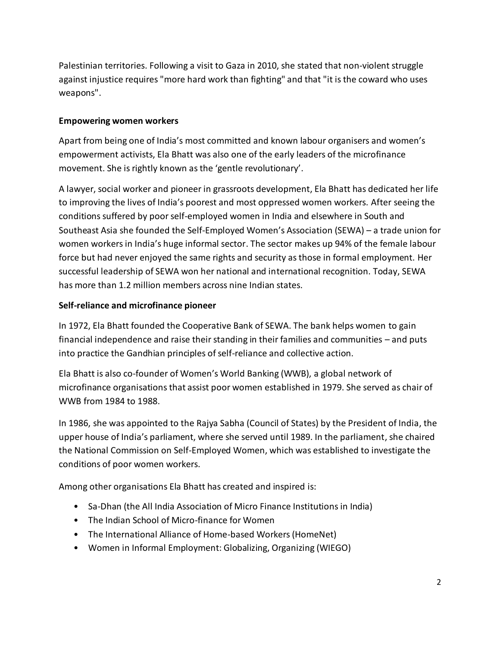Palestinian territories. Following a visit to Gaza in 2010, she stated that non-violent struggle against injustice requires "more hard work than fighting" and that "it is the coward who uses weapons".

## **Empowering women workers**

Apart from being one of India's most committed and known labour organisers and women's empowerment activists, Ela Bhatt was also one of the early leaders of the microfinance movement. She is rightly known as the 'gentle revolutionary'.

A lawyer, social worker and pioneer in grassroots development, Ela Bhatt has dedicated her life to improving the lives of India's poorest and most oppressed women workers. After seeing the conditions suffered by poor self-employed women in India and elsewhere in South and Southeast Asia she founded the Self-Employed Women's Association (SEWA) – a trade union for women workers in India's huge informal sector. The sector makes up 94% of the female labour force but had never enjoyed the same rights and security as those in formal employment. Her successful leadership of SEWA won her national and international recognition. Today, SEWA has more than 1.2 million members across nine Indian states.

## **Self-reliance and microfinance pioneer**

In 1972, Ela Bhatt founded the Cooperative Bank of SEWA. The bank helps women to gain financial independence and raise their standing in their families and communities – and puts into practice the Gandhian principles of self-reliance and collective action.

Ela Bhatt is also co-founder of Women's World Banking (WWB), a global network of microfinance organisations that assist poor women established in 1979. She served as chair of WWB from 1984 to 1988.

In 1986, she was appointed to the Rajya Sabha (Council of States) by the President of India, the upper house of India's parliament, where she served until 1989. In the parliament, she chaired the National Commission on Self-Employed Women, which was established to investigate the conditions of poor women workers.

Among other organisations Ela Bhatt has created and inspired is:

- Sa-Dhan (the All India Association of Micro Finance Institutions in India)
- The Indian School of Micro-finance for Women
- The International Alliance of Home-based Workers (HomeNet)
- Women in Informal Employment: Globalizing, Organizing (WIEGO)